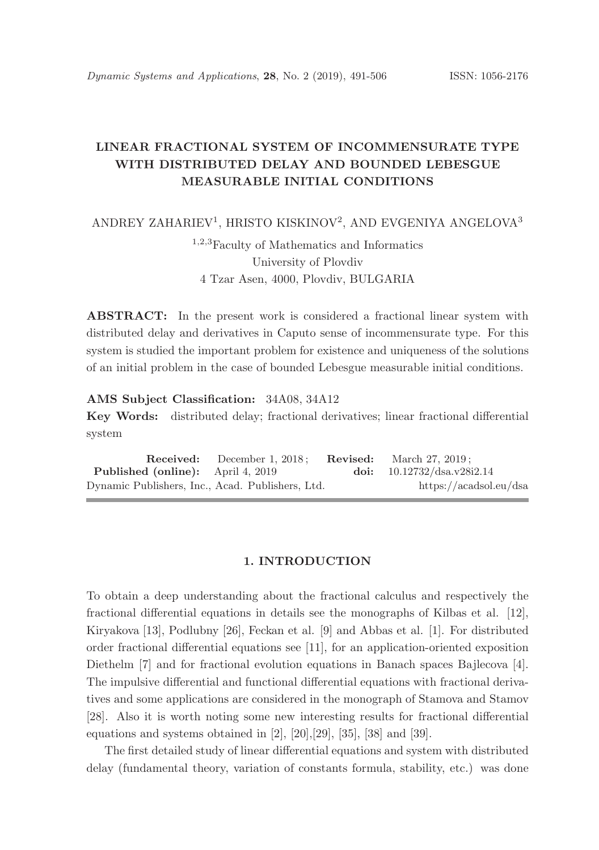# LINEAR FRACTIONAL SYSTEM OF INCOMMENSURATE TYPE WITH DISTRIBUTED DELAY AND BOUNDED LEBESGUE MEASURABLE INITIAL CONDITIONS

ANDREY ZAHARIEV<sup>1</sup>, HRISTO KISKINOV<sup>2</sup>, AND EVGENIYA ANGELOVA<sup>3</sup>

<sup>1</sup>,2,<sup>3</sup>Faculty of Mathematics and Informatics University of Plovdiv 4 Tzar Asen, 4000, Plovdiv, BULGARIA

ABSTRACT: In the present work is considered a fractional linear system with distributed delay and derivatives in Caputo sense of incommensurate type. For this system is studied the important problem for existence and uniqueness of the solutions of an initial problem in the case of bounded Lebesgue measurable initial conditions.

AMS Subject Classification: 34A08, 34A12

Key Words: distributed delay; fractional derivatives; linear fractional differential system

Received: December 1, 2018; Revised: March 27, 2019; Published (online): April 4, 2019 doi: 10.12732/dsa.v28i2.14 Dynamic Publishers, Inc., Acad. Publishers, Ltd. https://acadsol.eu/dsa

### 1. INTRODUCTION

To obtain a deep understanding about the fractional calculus and respectively the fractional differential equations in details see the monographs of Kilbas et al. [12], Kiryakova [13], Podlubny [26], Feckan et al. [9] and Abbas et al. [1]. For distributed order fractional differential equations see [11], for an application-oriented exposition Diethelm [7] and for fractional evolution equations in Banach spaces Bajlecova [4]. The impulsive differential and functional differential equations with fractional derivatives and some applications are considered in the monograph of Stamova and Stamov [28]. Also it is worth noting some new interesting results for fractional differential equations and systems obtained in [2], [20],[29], [35], [38] and [39].

The first detailed study of linear differential equations and system with distributed delay (fundamental theory, variation of constants formula, stability, etc.) was done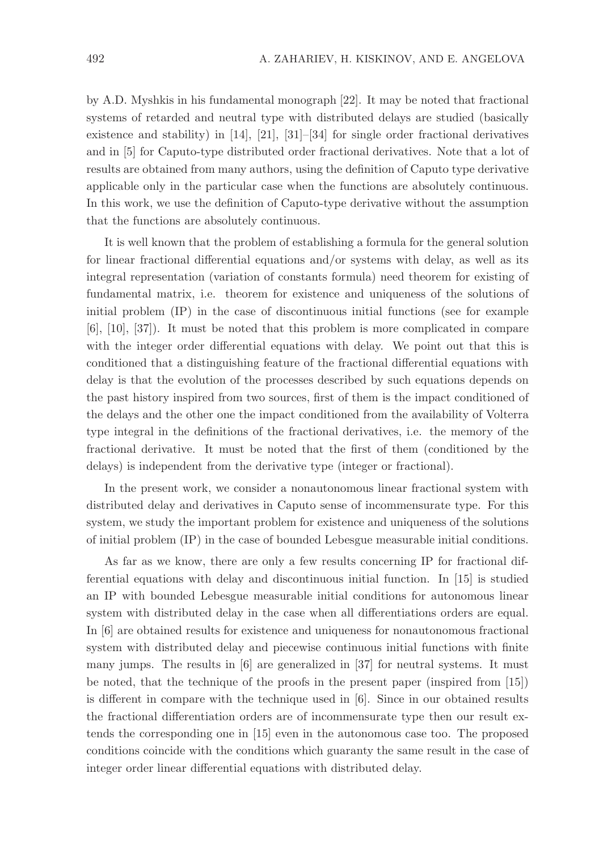by A.D. Myshkis in his fundamental monograph [22]. It may be noted that fractional systems of retarded and neutral type with distributed delays are studied (basically existence and stability) in [14], [21], [31]–[34] for single order fractional derivatives and in [5] for Caputo-type distributed order fractional derivatives. Note that a lot of results are obtained from many authors, using the definition of Caputo type derivative applicable only in the particular case when the functions are absolutely continuous. In this work, we use the definition of Caputo-type derivative without the assumption that the functions are absolutely continuous.

It is well known that the problem of establishing a formula for the general solution for linear fractional differential equations and/or systems with delay, as well as its integral representation (variation of constants formula) need theorem for existing of fundamental matrix, i.e. theorem for existence and uniqueness of the solutions of initial problem (IP) in the case of discontinuous initial functions (see for example [6], [10], [37]). It must be noted that this problem is more complicated in compare with the integer order differential equations with delay. We point out that this is conditioned that a distinguishing feature of the fractional differential equations with delay is that the evolution of the processes described by such equations depends on the past history inspired from two sources, first of them is the impact conditioned of the delays and the other one the impact conditioned from the availability of Volterra type integral in the definitions of the fractional derivatives, i.e. the memory of the fractional derivative. It must be noted that the first of them (conditioned by the delays) is independent from the derivative type (integer or fractional).

In the present work, we consider a nonautonomous linear fractional system with distributed delay and derivatives in Caputo sense of incommensurate type. For this system, we study the important problem for existence and uniqueness of the solutions of initial problem (IP) in the case of bounded Lebesgue measurable initial conditions.

As far as we know, there are only a few results concerning IP for fractional differential equations with delay and discontinuous initial function. In [15] is studied an IP with bounded Lebesgue measurable initial conditions for autonomous linear system with distributed delay in the case when all differentiations orders are equal. In [6] are obtained results for existence and uniqueness for nonautonomous fractional system with distributed delay and piecewise continuous initial functions with finite many jumps. The results in [6] are generalized in [37] for neutral systems. It must be noted, that the technique of the proofs in the present paper (inspired from [15]) is different in compare with the technique used in [6]. Since in our obtained results the fractional differentiation orders are of incommensurate type then our result extends the corresponding one in [15] even in the autonomous case too. The proposed conditions coincide with the conditions which guaranty the same result in the case of integer order linear differential equations with distributed delay.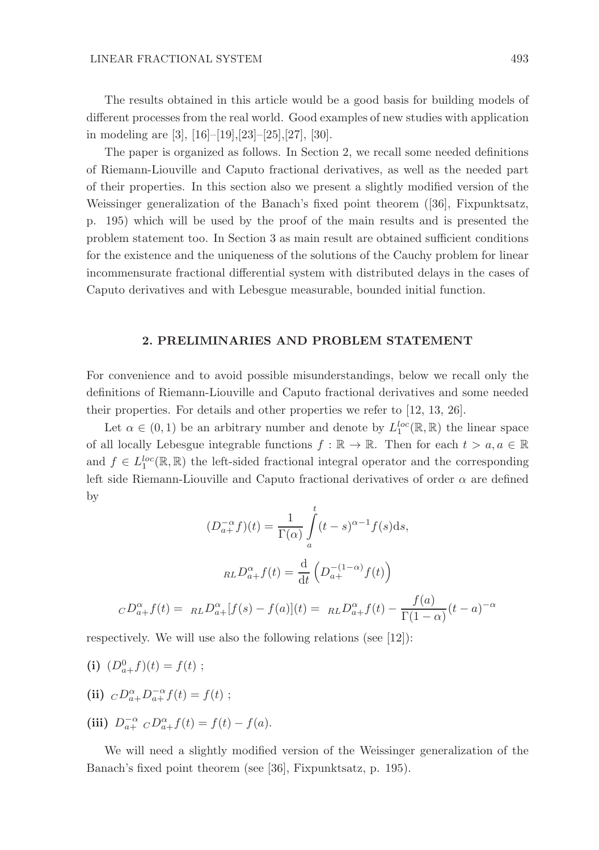The results obtained in this article would be a good basis for building models of different processes from the real world. Good examples of new studies with application in modeling are [3], [16]–[19],[23]–[25],[27], [30].

The paper is organized as follows. In Section 2, we recall some needed definitions of Riemann-Liouville and Caputo fractional derivatives, as well as the needed part of their properties. In this section also we present a slightly modified version of the Weissinger generalization of the Banach's fixed point theorem ([36], Fixpunktsatz, p. 195) which will be used by the proof of the main results and is presented the problem statement too. In Section 3 as main result are obtained sufficient conditions for the existence and the uniqueness of the solutions of the Cauchy problem for linear incommensurate fractional differential system with distributed delays in the cases of Caputo derivatives and with Lebesgue measurable, bounded initial function.

## 2. PRELIMINARIES AND PROBLEM STATEMENT

For convenience and to avoid possible misunderstandings, below we recall only the definitions of Riemann-Liouville and Caputo fractional derivatives and some needed their properties. For details and other properties we refer to [12, 13, 26].

Let  $\alpha \in (0,1)$  be an arbitrary number and denote by  $L_1^{loc}(\mathbb{R}, \mathbb{R})$  the linear space of all locally Lebesgue integrable functions  $f : \mathbb{R} \to \mathbb{R}$ . Then for each  $t > a, a \in \mathbb{R}$ and  $f \in L_1^{loc}(\mathbb{R}, \mathbb{R})$  the left-sided fractional integral operator and the corresponding left side Riemann-Liouville and Caputo fractional derivatives of order  $\alpha$  are defined by

$$
(D_{a+}^{-\alpha}f)(t) = \frac{1}{\Gamma(\alpha)} \int_{a}^{t} (t-s)^{\alpha-1} f(s) ds,
$$

$$
_{RL}D_{a+}^{\alpha}f(t) = \frac{d}{dt} \left( D_{a+}^{-(1-\alpha)} f(t) \right)
$$

$$
_{CD_{a+}^{\alpha}f(t) = \ R_L D_{a+}^{\alpha} [f(s) - f(a)](t) = \ R_L D_{a+}^{\alpha} f(t) - \frac{f(a)}{\Gamma(1-\alpha)} (t-a)^{-\alpha}
$$

respectively. We will use also the following relations (see [12]):

(i) 
$$
(D_{a+}^0 f)(t) = f(t)
$$
;

- (ii)  ${}_CD_{a+}^{\alpha}D_{a+}^{-\alpha}f(t) = f(t)$ ;
- (iii)  $D_{a+}^{-\alpha} C D_{a+}^{\alpha} f(t) = f(t) f(a)$ .

We will need a slightly modified version of the Weissinger generalization of the Banach's fixed point theorem (see [36], Fixpunktsatz, p. 195).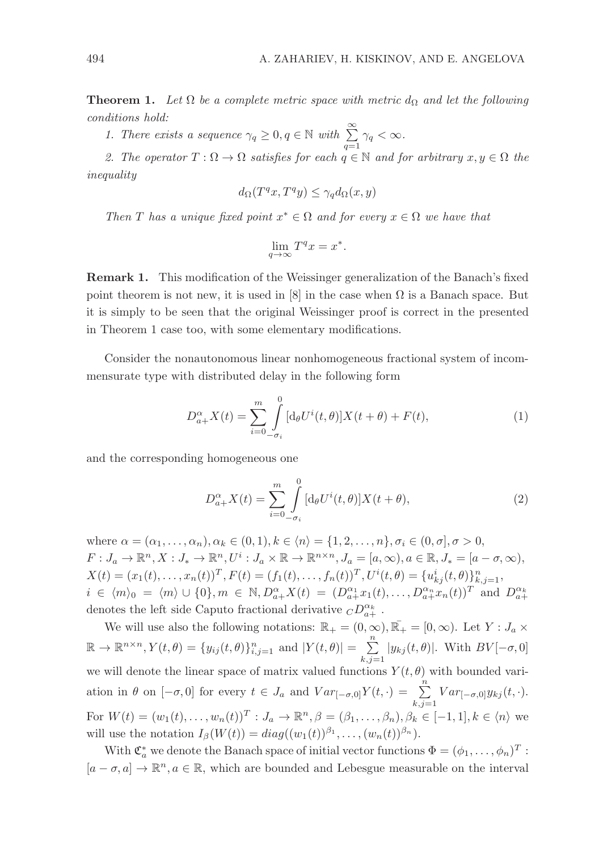**Theorem 1.** Let  $\Omega$  be a complete metric space with metric  $d_{\Omega}$  and let the following conditions hold:

1. There exists a sequence  $\gamma_q \geq 0, q \in \mathbb{N}$  with  $\sum_{q=1}^{\infty} \gamma_q < \infty$ .

2. The operator  $T : \Omega \to \Omega$  satisfies for each  $q \in \mathbb{N}$  and for arbitrary  $x, y \in \Omega$  the inequality

$$
d_{\Omega}(T^q x, T^q y) \le \gamma_q d_{\Omega}(x, y)
$$

Then T has a unique fixed point  $x^* \in \Omega$  and for every  $x \in \Omega$  we have that

$$
\lim_{q \to \infty} T^q x = x^*.
$$

Remark 1. This modification of the Weissinger generalization of the Banach's fixed point theorem is not new, it is used in [8] in the case when  $\Omega$  is a Banach space. But it is simply to be seen that the original Weissinger proof is correct in the presented in Theorem 1 case too, with some elementary modifications.

Consider the nonautonomous linear nonhomogeneous fractional system of incommensurate type with distributed delay in the following form

$$
D_{a+}^{\alpha}X(t) = \sum_{i=0}^{m} \int_{-\sigma_i}^{0} [\mathrm{d}_{\theta}U^{i}(t,\theta)]X(t+\theta) + F(t), \tag{1}
$$

and the corresponding homogeneous one

$$
D_{a+}^{\alpha}X(t) = \sum_{i=0}^{m} \int_{-\sigma_i}^{0} [\mathrm{d}_{\theta}U^i(t,\theta)]X(t+\theta),\tag{2}
$$

where  $\alpha = (\alpha_1, ..., \alpha_n), \alpha_k \in (0, 1), k \in \langle n \rangle = \{1, 2, ..., n\}, \sigma_i \in (0, \sigma], \sigma > 0,$  $F: J_a \to \mathbb{R}^n, X: J_* \to \mathbb{R}^n, U^i: J_a \times \mathbb{R} \to \mathbb{R}^{n \times n}, J_a = [a, \infty), a \in \mathbb{R}, J_* = [a - \sigma, \infty),$  $X(t) = (x_1(t), \ldots, x_n(t))^T, F(t) = (f_1(t), \ldots, f_n(t))^T, U^i(t, \theta) = \{u_{kj}^i(t, \theta)\}_{k, j=1}^n,$  $i \in \langle m \rangle_0 = \langle m \rangle \cup \{0\}, m \in \mathbb{N}, D_{a+}^{\alpha} X(t) = (D_{a+}^{\alpha_1} x_1(t), \ldots, D_{a+}^{\alpha_n} x_n(t))^T$  and  $D_{a+}^{\alpha_k}$ denotes the left side Caputo fractional derivative  ${}_{C}D^{\alpha_{k}}_{a+}$ .

We will use also the following notations:  $\mathbb{R}_+ = (0, \infty), \overline{\mathbb{R}_+} = [0, \infty)$ . Let  $Y : J_a \times$  $\mathbb{R} \to \mathbb{R}^{n \times n}, Y(t, \theta) = \{y_{ij}(t, \theta)\}_{i,j=1}^n$  and  $|Y(t, \theta)| = \sum_{i=1}^n$  $\sum_{k,j=1} |y_{kj}(t, \theta)|$ . With  $BV[-\sigma, 0]$ we will denote the linear space of matrix valued functions  $Y(t, \theta)$  with bounded variation in  $\theta$  on  $[-\sigma, 0]$  for every  $t \in J_a$  and  $Var_{[-\sigma, 0]}Y(t, \cdot) = \sum_{k,j=1}^n Var_{[-\sigma, 0]}y_{kj}(t, \cdot)$ . For  $W(t) = (w_1(t), \ldots, w_n(t))^T : J_a \to \mathbb{R}^n, \beta = (\beta_1, \ldots, \beta_n), \beta_k \in [-1, 1], k \in \langle n \rangle$  we will use the notation  $I_{\beta}(W(t)) = diag((w_1(t))^{\beta_1}, \ldots, (w_n(t))^{\beta_n}).$ 

With  $\mathfrak{C}_a^*$  we denote the Banach space of initial vector functions  $\Phi = (\phi_1, \dots, \phi_n)^T$ :  $[a - \sigma, a] \to \mathbb{R}^n, a \in \mathbb{R}$ , which are bounded and Lebesgue measurable on the interval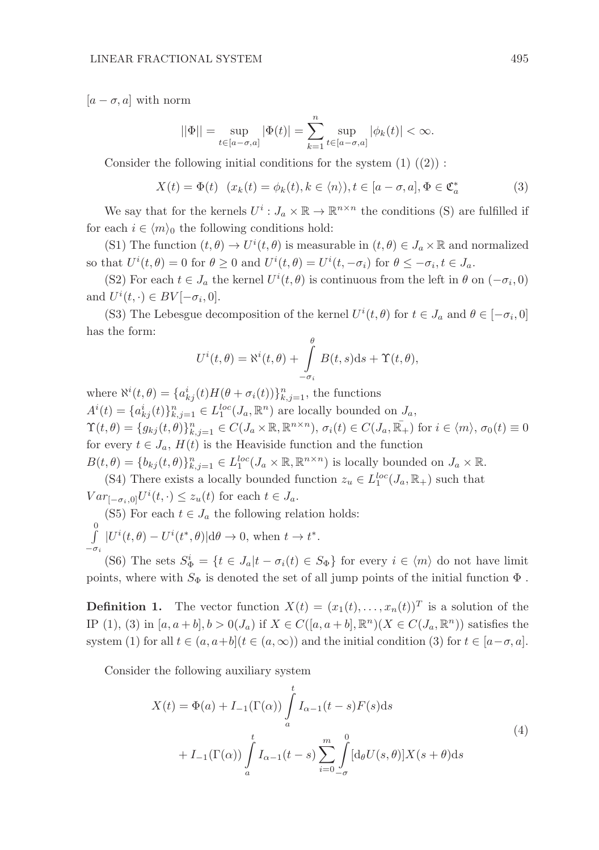$[a - \sigma, a]$  with norm

$$
||\Phi|| = \sup_{t \in [a-\sigma, a]} |\Phi(t)| = \sum_{k=1}^n \sup_{t \in [a-\sigma, a]} |\phi_k(t)| < \infty.
$$

Consider the following initial conditions for the system  $(1)$   $((2))$ :

$$
X(t) = \Phi(t) \quad (x_k(t) = \phi_k(t), k \in \langle n \rangle), t \in [a - \sigma, a], \Phi \in \mathfrak{C}_a^*
$$
 (3)

We say that for the kernels  $U^i: J_a \times \mathbb{R} \to \mathbb{R}^{n \times n}$  the conditions (S) are fulfilled if for each  $i \in \langle m \rangle_0$  the following conditions hold:

(S1) The function  $(t, \theta) \to U^{i}(t, \theta)$  is measurable in  $(t, \theta) \in J_a \times \mathbb{R}$  and normalized so that  $U^{i}(t, \theta) = 0$  for  $\theta \ge 0$  and  $U^{i}(t, \theta) = U^{i}(t, -\sigma_{i})$  for  $\theta \le -\sigma_{i}, t \in J_{a}$ .

(S2) For each  $t \in J_a$  the kernel  $U^i(t, \theta)$  is continuous from the left in  $\theta$  on  $(-\sigma_i, 0)$ and  $U^{i}(t, \cdot) \in BV[-\sigma_{i}, 0].$ 

(S3) The Lebesgue decomposition of the kernel  $U^{i}(t, \theta)$  for  $t \in J_a$  and  $\theta \in [-\sigma_i, 0]$ has the form: θ

$$
U^{i}(t, \theta) = \aleph^{i}(t, \theta) + \int_{-\sigma_{i}}^{\theta} B(t, s) \, ds + \Upsilon(t, \theta),
$$

where  $\aleph^{i}(t,\theta) = \{a_{kj}^{i}(t)H(\theta + \sigma_{i}(t))\}_{k,j=1}^{n}$ , the functions  $A^{i}(t) = \{a_{kj}^{i}(t)\}_{k,j=1}^{n} \in L_{1}^{loc}(J_{a}, \mathbb{R}^{n})$  are locally bounded on  $J_{a}$ ,  $\Upsilon(t,\theta) = \{g_{kj}(t,\theta)\}_{k,j=1}^n \in C(J_\alpha \times \mathbb{R}, \mathbb{R}^{n \times n}), \sigma_i(t) \in C(J_\alpha, \bar{\mathbb{R}_+}) \text{ for } i \in \langle m \rangle, \sigma_0(t) \equiv 0$ for every  $t \in J_a$ ,  $H(t)$  is the Heaviside function and the function  $B(t,\theta) = \{b_{kj}(t,\theta)\}_{k,j=1}^n \in L_1^{loc}(J_a \times \mathbb{R}, \mathbb{R}^{n \times n})$  is locally bounded on  $J_a \times \mathbb{R}$ .

(S4) There exists a locally bounded function  $z_u \in L_1^{loc}(J_a, \mathbb{R}_+)$  such that  $Var_{[-\sigma_i,0]}U^i(t,\cdot) \leq z_u(t)$  for each  $t \in J_a$ .

(S5) For each  $t \in J_a$  the following relation holds:

 $\int$  $-\sigma_i$  $|U^{i}(t,\theta) - U^{i}(t^*,\theta)| d\theta \to 0$ , when  $t \to t^*$ .

(S6) The sets  $S_{\Phi}^i = \{t \in J_a | t - \sigma_i(t) \in S_{\Phi}\}\$ for every  $i \in \langle m \rangle$  do not have limit points, where with  $S_{\Phi}$  is denoted the set of all jump points of the initial function  $\Phi$ .

**Definition 1.** The vector function  $X(t) = (x_1(t), \ldots, x_n(t))^T$  is a solution of the IP (1), (3) in  $[a, a + b], b > 0(J_a)$  if  $X \in C([a, a + b], \mathbb{R}^n)(X \in C(J_a, \mathbb{R}^n))$  satisfies the system (1) for all  $t \in (a, a+b]$   $(t \in (a, \infty))$  and the initial condition (3) for  $t \in [a-\sigma, a]$ .

Consider the following auxiliary system

$$
X(t) = \Phi(a) + I_{-1}(\Gamma(\alpha)) \int_{a}^{t} I_{\alpha-1}(t-s)F(s)ds
$$
  
+ 
$$
I_{-1}(\Gamma(\alpha)) \int_{a}^{t} I_{\alpha-1}(t-s) \sum_{i=0}^{m} \int_{-\sigma}^{0} [d_{\theta}U(s,\theta)]X(s+\theta)ds
$$
 (4)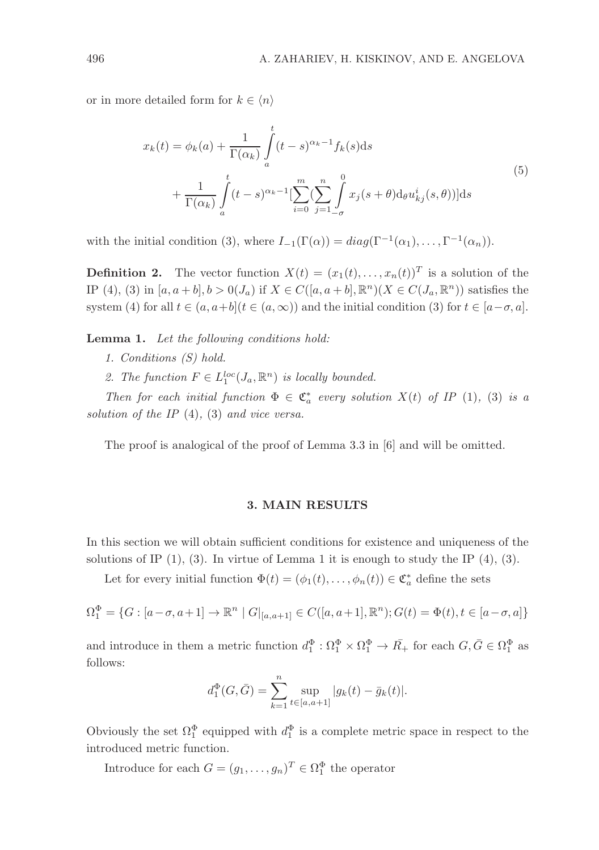or in more detailed form for  $k \in \langle n \rangle$ 

$$
x_k(t) = \phi_k(a) + \frac{1}{\Gamma(\alpha_k)} \int_a^t (t-s)^{\alpha_k - 1} f_k(s) ds
$$
  
+ 
$$
\frac{1}{\Gamma(\alpha_k)} \int_a^t (t-s)^{\alpha_k - 1} \left[ \sum_{i=0}^m \left( \sum_{j=1}^n \int_{-\sigma}^0 x_j(s+\theta) d_\theta u_{kj}^i(s,\theta) \right) \right] ds
$$
(5)

with the initial condition (3), where  $I_{-1}(\Gamma(\alpha)) = diag(\Gamma^{-1}(\alpha_1), \ldots, \Gamma^{-1}(\alpha_n)).$ 

**Definition 2.** The vector function  $X(t) = (x_1(t), \ldots, x_n(t))^T$  is a solution of the IP (4), (3) in  $[a, a + b], b > 0(J_a)$  if  $X \in C([a, a + b], \mathbb{R}^n)(X \in C(J_a, \mathbb{R}^n))$  satisfies the system (4) for all  $t \in (a, a+b]$   $(t \in (a, \infty))$  and the initial condition (3) for  $t \in [a-\sigma, a]$ .

Lemma 1. Let the following conditions hold:

- 1. Conditions (S) hold.
- 2. The function  $F \in L_1^{loc}(J_a, \mathbb{R}^n)$  is locally bounded.

Then for each initial function  $\Phi \in \mathfrak{C}_a^*$  every solution  $X(t)$  of IP (1), (3) is a solution of the IP  $(4)$ ,  $(3)$  and vice versa.

The proof is analogical of the proof of Lemma 3.3 in [6] and will be omitted.

### 3. MAIN RESULTS

In this section we will obtain sufficient conditions for existence and uniqueness of the solutions of IP  $(1)$ ,  $(3)$ . In virtue of Lemma 1 it is enough to study the IP  $(4)$ ,  $(3)$ .

Let for every initial function  $\Phi(t) = (\phi_1(t), \dots, \phi_n(t)) \in \mathfrak{C}_a^*$  define the sets

$$
\Omega_1^{\Phi} = \{ G : [a - \sigma, a + 1] \to \mathbb{R}^n \mid G|_{[a, a + 1]} \in C([a, a + 1], \mathbb{R}^n); G(t) = \Phi(t), t \in [a - \sigma, a] \}
$$

and introduce in them a metric function  $d_1^{\Phi} : \Omega_1^{\Phi} \times \Omega_1^{\Phi} \to \overline{R_+}$  for each  $G, \overline{G} \in \Omega_1^{\Phi}$  as follows:

$$
d_1^{\Phi}(G, \bar{G}) = \sum_{k=1}^n \sup_{t \in [a, a+1]} |g_k(t) - \bar{g}_k(t)|.
$$

Obviously the set  $\Omega_1^{\Phi}$  equipped with  $d_1^{\Phi}$  is a complete metric space in respect to the introduced metric function.

Introduce for each  $G = (g_1, \ldots, g_n)^T \in \Omega_1^{\Phi}$  the operator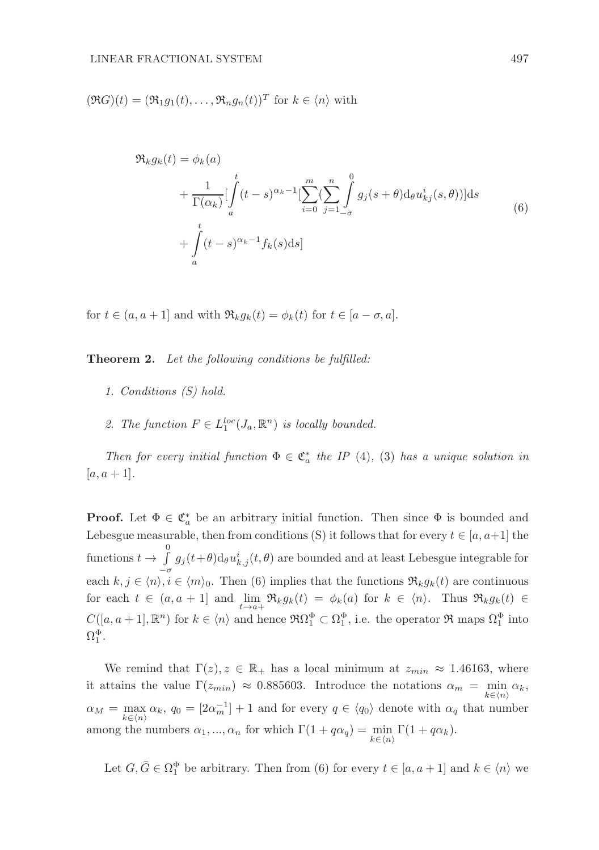$(\Re G)(t) = (\Re_1 g_1(t), \dots, \Re_n g_n(t))^T$  for  $k \in \langle n \rangle$  with

$$
\mathfrak{R}_k g_k(t) = \phi_k(a)
$$
  
+ 
$$
\frac{1}{\Gamma(\alpha_k)} \left[ \int_a^t (t-s)^{\alpha_k - 1} \left[ \sum_{i=0}^m \left( \sum_{j=1}^n \int_{-\sigma}^0 g_j(s+\theta) d_\theta u_{kj}^i(s,\theta) \right) \right] ds
$$
  
+ 
$$
\int_a^t (t-s)^{\alpha_k - 1} f_k(s) ds \right]
$$
(6)

for  $t \in (a, a + 1]$  and with  $\Re_k g_k(t) = \phi_k(t)$  for  $t \in [a - \sigma, a]$ .

Theorem 2. Let the following conditions be fulfilled:

- 1. Conditions (S) hold.
- 2. The function  $F \in L_1^{loc}(J_a, \mathbb{R}^n)$  is locally bounded.

Then for every initial function  $\Phi \in \mathfrak{C}_a^*$  the IP (4), (3) has a unique solution in  $[a, a + 1].$ 

**Proof.** Let  $\Phi \in \mathfrak{C}_a^*$  be an arbitrary initial function. Then since  $\Phi$  is bounded and Lebesgue measurable, then from conditions (S) it follows that for every  $t \in [a, a+1]$  the functions  $t \to \int_0^0$  $\int_{-\sigma}$   $g_j(t+\theta)d_{\theta}u_{k,j}^i(t,\theta)$  are bounded and at least Lebesgue integrable for each  $k, j \in \langle n \rangle, i \in \langle m \rangle_0$ . Then (6) implies that the functions  $\Re_k g_k(t)$  are continuous for each  $t \in (a, a + 1]$  and  $\lim_{t \to a+} \Re_k g_k(t) = \phi_k(a)$  for  $k \in \langle n \rangle$ . Thus  $\Re_k g_k(t) \in$  $C([a, a+1], \mathbb{R}^n)$  for  $k \in \langle n \rangle$  and hence  $\Re\Omega_1^{\Phi} \subset \Omega_1^{\Phi}$ , i.e. the operator  $\Re$  maps  $\Omega_1^{\Phi}$  into  $\Omega_1^\Phi.$ 

We remind that  $\Gamma(z)$ ,  $z \in \mathbb{R}_+$  has a local minimum at  $z_{min} \approx 1.46163$ , where it attains the value  $\Gamma(z_{min}) \approx 0.885603$ . Introduce the notations  $\alpha_m = \min_{k \in \langle n \rangle} \alpha_k$ ,  $\alpha_M = \max_{k \in \langle n \rangle} \alpha_k, q_0 = [2\alpha_m^{-1}] + 1$  and for every  $q \in \langle q_0 \rangle$  denote with  $\alpha_q$  that number among the numbers  $\alpha_1, ..., \alpha_n$  for which  $\Gamma(1 + q\alpha_q) = \min_{k \in \langle n \rangle} \Gamma(1 + q\alpha_k)$ .

Let  $G, \overline{G} \in \Omega_1^{\Phi}$  be arbitrary. Then from (6) for every  $t \in [a, a + 1]$  and  $k \in \langle n \rangle$  we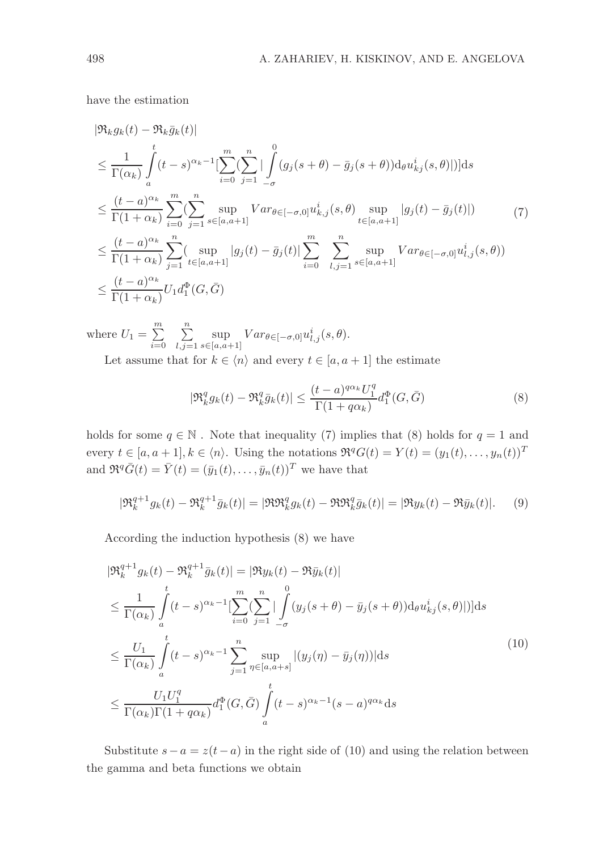have the estimation

$$
|\Re_k g_k(t) - \Re_k \bar{g}_k(t)|
$$
  
\n
$$
\leq \frac{1}{\Gamma(\alpha_k)} \int_a^t (t-s)^{\alpha_k - 1} \left[ \sum_{i=0}^m \left( \sum_{j=1}^n \left| \int_{-\sigma}^0 (g_j(s+\theta) - \bar{g}_j(s+\theta)) \mathrm{d}_\theta u_{kj}^i(s,\theta) \right|) \right] ds
$$
  
\n
$$
\leq \frac{(t-a)^{\alpha_k}}{\Gamma(1+\alpha_k)} \sum_{i=0}^m \left( \sum_{j=1}^n \sup_{s \in [a,a+1]} Var_{\theta \in [-\sigma,0]} u_{k,j}^i(s,\theta) \sup_{t \in [a,a+1]} |g_j(t) - \bar{g}_j(t)| \right) \tag{7}
$$
  
\n
$$
\leq \frac{(t-a)^{\alpha_k}}{\Gamma(1+\alpha_k)} \sum_{j=1}^n \left( \sup_{t \in [a,a+1]} |g_j(t) - \bar{g}_j(t)| \sum_{i=0}^m \sum_{l,j=1}^n \sup_{s \in [a,a+1]} Var_{\theta \in [-\sigma,0]} u_{l,j}^i(s,\theta) \right)
$$
  
\n
$$
\leq \frac{(t-a)^{\alpha_k}}{\Gamma(1+\alpha_k)} U_1 d_1^{\Phi}(G, \bar{G})
$$

where  $U_1 = \sum^m$  $i=0$  $\sum_{n=1}^{\infty}$  $l,j=1$ sup  $\sup_{s \in [a,a+1]} Var_{\theta \in [-\sigma,0]} u^i_{l,j}(s,\theta).$ Let assume that for  $k \in \langle n \rangle$  and every  $t \in [a, a + 1]$  the estimate

$$
|\Re^q_k g_k(t) - \Re^q_k \bar{g}_k(t)| \le \frac{(t-a)^{q\alpha_k} U_1^q}{\Gamma(1+q\alpha_k)} d_1^{\Phi}(G, \bar{G})
$$
\n(8)

holds for some  $q \in \mathbb{N}$ . Note that inequality (7) implies that (8) holds for  $q = 1$  and every  $t \in [a, a+1], k \in \langle n \rangle$ . Using the notations  $\Re^q G(t) = Y(t) = (y_1(t), \ldots, y_n(t))^T$ and  $\Re^q \bar{G}(t) = \bar{Y}(t) = (\bar{y}_1(t), \dots, \bar{y}_n(t))^T$  we have that

$$
|\mathfrak{R}_k^{q+1} g_k(t) - \mathfrak{R}_k^{q+1} \bar{g}_k(t)| = |\mathfrak{R} \mathfrak{R}_k^q g_k(t) - \mathfrak{R} \mathfrak{R}_k^q \bar{g}_k(t)| = |\mathfrak{R} y_k(t) - \mathfrak{R} \bar{y}_k(t)|. \tag{9}
$$

According the induction hypothesis (8) we have

$$
|\mathfrak{R}_{k}^{q+1}g_{k}(t) - \mathfrak{R}_{k}^{q+1}\bar{g}_{k}(t)| = |\mathfrak{R}y_{k}(t) - \mathfrak{R}\bar{y}_{k}(t)|
$$
  
\n
$$
\leq \frac{1}{\Gamma(\alpha_{k})} \int_{a}^{t} (t-s)^{\alpha_{k}-1} \left[ \sum_{i=0}^{m} \left( \sum_{j=1}^{n} \left| \int_{-\sigma}^{0} (y_{j}(s+\theta) - \bar{y}_{j}(s+\theta)) \mathrm{d}_{\theta} u_{kj}^{i}(s,\theta) \right|) \right] ds
$$
  
\n
$$
\leq \frac{U_{1}}{\Gamma(\alpha_{k})} \int_{a}^{t} (t-s)^{\alpha_{k}-1} \sum_{j=1}^{n} \sup_{\eta \in [a,a+s]} |(y_{j}(\eta) - \bar{y}_{j}(\eta))| \mathrm{d}s
$$
  
\n
$$
\leq \frac{U_{1}U_{1}^{q}}{\Gamma(\alpha_{k})\Gamma(1 + q\alpha_{k})} d_{1}^{\Phi}(G, \bar{G}) \int_{a}^{t} (t-s)^{\alpha_{k}-1} (s-a)^{q\alpha_{k}} \mathrm{d}s
$$
  
\n(10)

Substitute  $s - a = z(t - a)$  in the right side of (10) and using the relation between the gamma and beta functions we obtain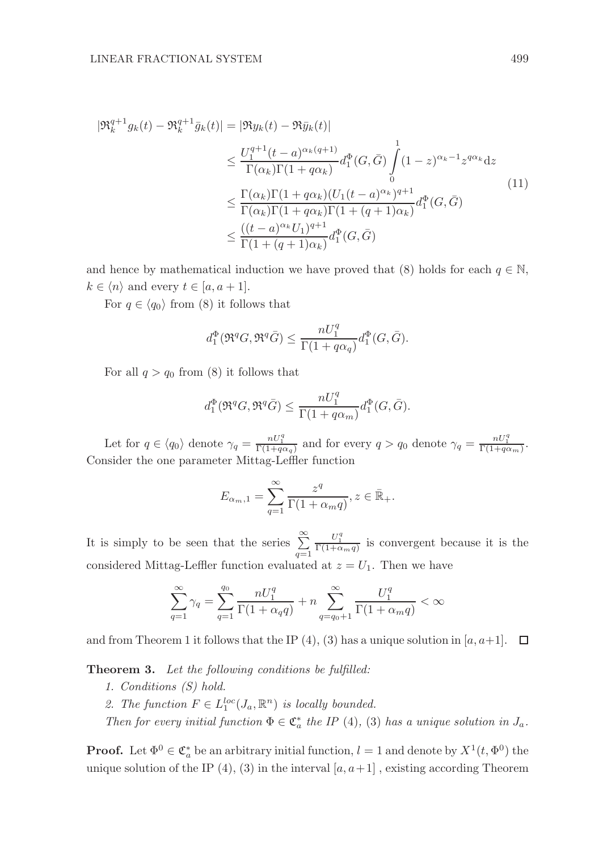$$
|\mathfrak{R}_{k}^{q+1}g_{k}(t) - \mathfrak{R}_{k}^{q+1}\bar{g}_{k}(t)| = |\mathfrak{R}y_{k}(t) - \mathfrak{R}\bar{y}_{k}(t)|
$$
  
\n
$$
\leq \frac{U_{1}^{q+1}(t-a)^{\alpha_{k}(q+1)}}{\Gamma(\alpha_{k})\Gamma(1+q\alpha_{k})}d_{1}^{\Phi}(G,\bar{G})\int_{0}^{1}(1-z)^{\alpha_{k}-1}z^{q\alpha_{k}}dz
$$
  
\n
$$
\leq \frac{\Gamma(\alpha_{k})\Gamma(1+q\alpha_{k})(U_{1}(t-a)^{\alpha_{k}})^{q+1}}{\Gamma(\alpha_{k})\Gamma(1+q\alpha_{k})\Gamma(1+(q+1)\alpha_{k})}d_{1}^{\Phi}(G,\bar{G})
$$
  
\n
$$
\leq \frac{((t-a)^{\alpha_{k}}U_{1})^{q+1}}{\Gamma(1+(q+1)\alpha_{k})}d_{1}^{\Phi}(G,\bar{G})
$$
  
\n(11)

and hence by mathematical induction we have proved that (8) holds for each  $q \in \mathbb{N}$ .  $k \in \langle n \rangle$  and every  $t \in [a, a + 1]$ .

For  $q \in \langle q_0 \rangle$  from (8) it follows that

$$
d_1^{\Phi}(\Re^q G, \Re^q \bar{G}) \le \frac{nU_1^q}{\Gamma(1 + q\alpha_q)} d_1^{\Phi}(G, \bar{G}).
$$

For all  $q > q_0$  from (8) it follows that

$$
d_1^{\Phi}(\Re^q G, \Re^q \bar{G}) \le \frac{n U_1^q}{\Gamma(1 + q \alpha_m)} d_1^{\Phi}(G, \bar{G}).
$$

Let for  $q \in \langle q_0 \rangle$  denote  $\gamma_q = \frac{nU_1^q}{\Gamma(1+q\alpha_q)}$  and for every  $q > q_0$  denote  $\gamma_q = \frac{nU_1^q}{\Gamma(1+q\alpha_m)}$ . Consider the one parameter Mittag-Leffler function

$$
E_{\alpha_m,1} = \sum_{q=1}^{\infty} \frac{z^q}{\Gamma(1+\alpha_m q)}, z \in \bar{\mathbb{R}}_+.
$$

It is simply to be seen that the series  $\sum_{q=1}^{\infty}$  $\frac{U_1^q}{\Gamma(1+\alpha_m q)}$  is convergent because it is the considered Mittag-Leffler function evaluated at  $z = U_1$ . Then we have

$$
\sum_{q=1}^{\infty}\gamma_q=\sum_{q=1}^{q_0}\frac{nU_1^q}{\Gamma(1+\alpha_q q)}+n\sum_{q=q_0+1}^{\infty}\frac{U_1^q}{\Gamma(1+\alpha_m q)}<\infty
$$

and from Theorem 1 it follows that the IP (4), (3) has a unique solution in [a, a+1].  $\Box$ 

Theorem 3. Let the following conditions be fulfilled:

- 1. Conditions (S) hold.
- 2. The function  $F \in L_1^{loc}(J_a, \mathbb{R}^n)$  is locally bounded.
- Then for every initial function  $\Phi \in \mathfrak{C}_a^*$  the IP (4), (3) has a unique solution in  $J_a$ .

**Proof.** Let  $\Phi^0 \in \mathfrak{C}_a^*$  be an arbitrary initial function,  $l = 1$  and denote by  $X^1(t, \Phi^0)$  the unique solution of the IP (4), (3) in the interval  $[a, a+1]$ , existing according Theorem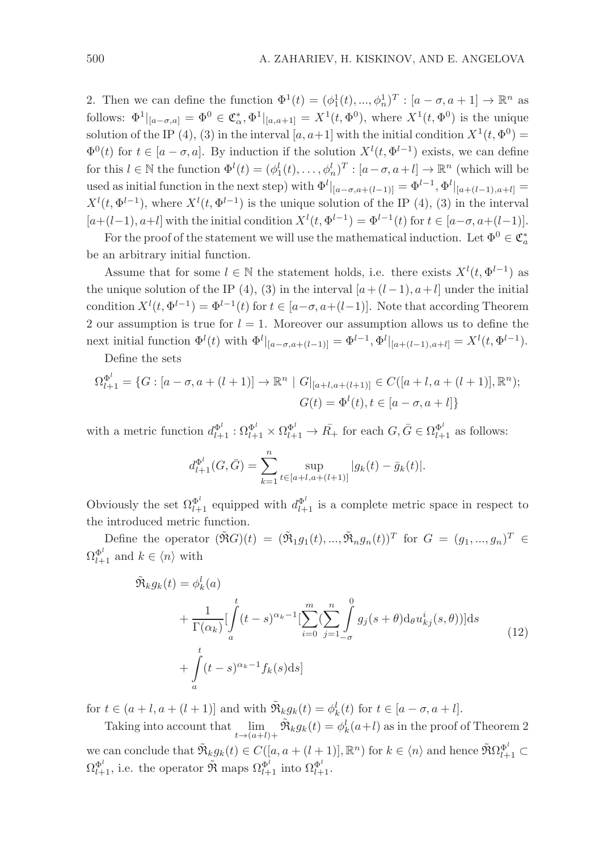2. Then we can define the function  $\Phi^1(t) = (\phi_1^1(t), ..., \phi_n^1)^T : [a - \sigma, a + 1] \to \mathbb{R}^n$  as follows:  $\Phi^1|_{[a-\sigma,a]} = \Phi^0 \in \mathfrak{C}_{\alpha}^*, \Phi^1|_{[a,a+1]} = X^1(t, \Phi^0)$ , where  $X^1(t, \Phi^0)$  is the unique solution of the IP (4), (3) in the interval [a, a+1] with the initial condition  $X^1(t, \Phi^0) =$  $\Phi^0(t)$  for  $t \in [a - \sigma, a]$ . By induction if the solution  $X^l(t, \Phi^{l-1})$  exists, we can define for this  $l \in \mathbb{N}$  the function  $\Phi^l(t) = (\phi_1^l(t), \ldots, \phi_n^l)^T : [a - \sigma, a + l] \to \mathbb{R}^n$  (which will be used as initial function in the next step) with  $\Phi^l|_{[a-\sigma,a+(l-1)]} = \Phi^{l-1}, \Phi^l|_{[a+(l-1),a+l]} =$  $X^{l}(t, \Phi^{l-1})$ , where  $X^{l}(t, \Phi^{l-1})$  is the unique solution of the IP (4), (3) in the interval  $[a+(l-1), a+l]$  with the initial condition  $X^l(t, \Phi^{l-1}) = \Phi^{l-1}(t)$  for  $t \in [a-\sigma, a+(l-1)].$ 

For the proof of the statement we will use the mathematical induction. Let  $\Phi^0 \in \mathfrak{C}_a^*$ be an arbitrary initial function.

Assume that for some  $l \in \mathbb{N}$  the statement holds, i.e. there exists  $X^{l}(t, \Phi^{l-1})$  as the unique solution of the IP (4), (3) in the interval  $[a+(l-1), a+l]$  under the initial condition  $X^l(t, \Phi^{l-1}) = \Phi^{l-1}(t)$  for  $t \in [a-\sigma, a+(l-1)]$ . Note that according Theorem 2 our assumption is true for  $l = 1$ . Moreover our assumption allows us to define the next initial function  $\Phi^l(t)$  with  $\Phi^l|_{[a-\sigma,a+(l-1)]} = \Phi^{l-1}, \Phi^l|_{[a+(l-1),a+l]} = X^l(t,\Phi^{l-1}).$ 

Define the sets

$$
\Omega_{l+1}^{\Phi^l} = \{ G : [a - \sigma, a + (l+1)] \to \mathbb{R}^n \mid G|_{[a+l,a+(l+1)]} \in C([a+l,a+(l+1)],\mathbb{R}^n);
$$
  

$$
G(t) = \Phi^l(t), t \in [a - \sigma, a+l] \}
$$

with a metric function  $d_{l+1}^{\Phi^l} : \Omega_{l+1}^{\Phi^l} \times \Omega_{l+1}^{\Phi^l} \to \overline{R}_+$  for each  $G, \overline{G} \in \Omega_{l+1}^{\Phi^l}$  as follows:

$$
d_{l+1}^{\Phi^l}(G, \bar{G}) = \sum_{k=1}^n \sup_{t \in [a+l, a+(l+1)]} |g_k(t) - \bar{g}_k(t)|.
$$

Obviously the set  $\Omega_{l+1}^{\Phi^l}$  equipped with  $d_{l+1}^{\Phi^l}$  is a complete metric space in respect to the introduced metric function.

Define the operator  $(\tilde{\mathfrak{R}}G)(t) = (\tilde{\mathfrak{R}}_1g_1(t),...,\tilde{\mathfrak{R}}_ng_n(t))^T$  for  $G = (g_1,...,g_n)^T \in$  $\Omega_{l+1}^{\Phi^l}$  and  $k \in \langle n \rangle$  with

$$
\tilde{\Re}_{k}g_{k}(t) = \phi_{k}^{l}(a)
$$
\n
$$
+ \frac{1}{\Gamma(\alpha_{k})} \left[ \int_{a}^{t} (t-s)^{\alpha_{k}-1} \left[ \sum_{i=0}^{m} \left( \sum_{j=1}^{n} \int_{-\sigma}^{0} g_{j}(s+\theta) d_{\theta} u_{kj}^{i}(s,\theta) \right) \right] ds + \int_{a}^{t} (t-s)^{\alpha_{k}-1} f_{k}(s) ds]
$$
\n(12)

for  $t \in (a + l, a + (l + 1)]$  and with  $\tilde{\mathfrak{R}}_k g_k(t) = \phi_k^l(t)$  for  $t \in [a - \sigma, a + l]$ .

Taking into account that  $\lim_{t \to (a+l)+}$  $\tilde{\mathfrak{R}}_k g_k(t) = \phi_k^l(a+l)$  as in the proof of Theorem 2 we can conclude that  $\tilde{\mathfrak{R}}_k g_k(t) \in C([a, a + (l+1)], \mathbb{R}^n)$  for  $k \in \langle n \rangle$  and hence  $\tilde{\mathfrak{R}} \Omega_{l+1}^{\Phi^l} \subset$  $\Omega_{l+1}^{\Phi^l}$ , i.e. the operator  $\tilde{\mathfrak{R}}$  maps  $\Omega_{l+1}^{\Phi^l}$  into  $\Omega_{l+1}^{\Phi^l}$ .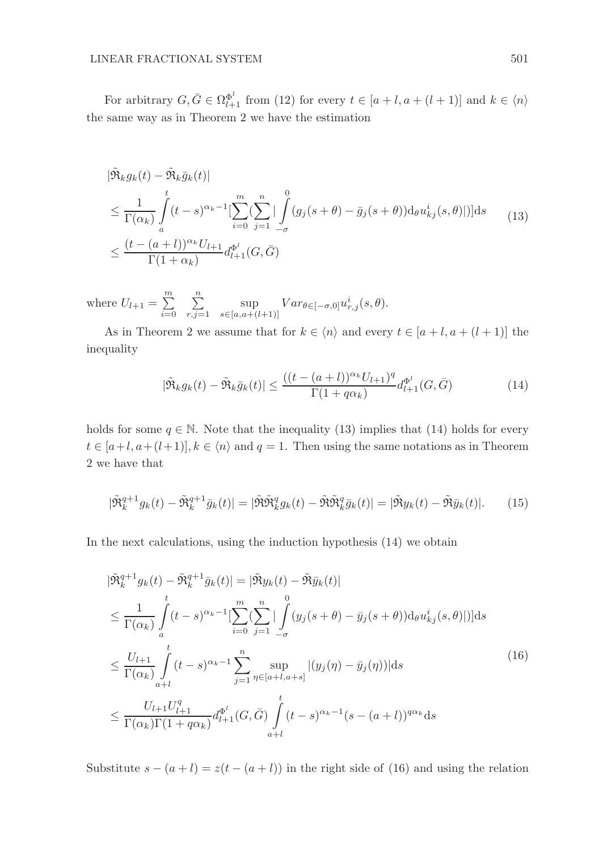For arbitrary  $G, \bar{G} \in \Omega_{l+1}^{\Phi^l}$  from (12) for every  $t \in [a+l, a+l(l+1)]$  and  $k \in \langle n \rangle$ the same way as in Theorem 2 we have the estimation

$$
|\tilde{\mathfrak{R}}_k g_k(t) - \tilde{\mathfrak{R}}_k \bar{g}_k(t)|
$$
  
\n
$$
\leq \frac{1}{\Gamma(\alpha_k)} \int_a^t (t-s)^{\alpha_k - 1} \left[ \sum_{i=0}^m \left( \sum_{j=1}^n \left| \int_{-\sigma}^0 (g_j(s+\theta) - \bar{g}_j(s+\theta)) \mathrm{d}_\theta u_{kj}^i(s,\theta) \right|) \right] ds
$$
  
\n
$$
\leq \frac{(t - (a + l))^{\alpha_k} U_{l+1}}{\Gamma(1 + \alpha_k)} d_{l+1}^{\Phi^l}(G, \bar{G})
$$
\n(13)

where  $U_{l+1} = \sum^{m}$  $i=0$  $\sum_{n=1}^{\infty}$  $r, j=1$ sup  $\sup_{s \in [a,a+(l+1)]} Var_{\theta \in [-\sigma,0]} u^i_{r,j}(s,\theta).$ 

As in Theorem 2 we assume that for  $k \in \langle n \rangle$  and every  $t \in [a + l, a + (l + 1)]$  the inequality

$$
|\tilde{\Re}_k g_k(t) - \tilde{\Re}_k \bar{g}_k(t)| \le \frac{((t - (a + l))^{\alpha_k} U_{l+1})^q}{\Gamma(1 + q\alpha_k)} d_{l+1}^{\Phi^l}(G, \bar{G})
$$
(14)

holds for some  $q \in \mathbb{N}$ . Note that the inequality (13) implies that (14) holds for every  $t \in [a+l, a+(l+1)], k \in \langle n \rangle$  and  $q=1$ . Then using the same notations as in Theorem 2 we have that

$$
|\tilde{\mathfrak{R}}_k^{q+1} g_k(t) - \tilde{\mathfrak{R}}_k^{q+1} \bar{g}_k(t)| = |\tilde{\mathfrak{R}} \tilde{\mathfrak{R}}_k^q g_k(t) - \tilde{\mathfrak{R}} \tilde{\mathfrak{R}}_k^q \bar{g}_k(t)| = |\tilde{\mathfrak{R}} y_k(t) - \tilde{\mathfrak{R}} \bar{y}_k(t)|. \tag{15}
$$

In the next calculations, using the induction hypothesis (14) we obtain

$$
|\tilde{\mathfrak{R}}_{k}^{q+1} g_{k}(t) - \tilde{\mathfrak{R}}_{k}^{q+1} \bar{g}_{k}(t)| = |\tilde{\mathfrak{R}} y_{k}(t) - \tilde{\mathfrak{R}} \bar{y}_{k}(t)|
$$
  
\n
$$
\leq \frac{1}{\Gamma(\alpha_{k})} \int_{a}^{t} (t-s)^{\alpha_{k}-1} \left[ \sum_{i=0}^{m} \left( \sum_{j=1}^{n} \left| \int_{-\sigma}^{0} (y_{j}(s+\theta) - \bar{y}_{j}(s+\theta)) \mathrm{d}_{\theta} u_{kj}^{i}(s,\theta) \right|) \right] ds
$$
  
\n
$$
\leq \frac{U_{l+1}}{\Gamma(\alpha_{k})} \int_{a+l}^{t} (t-s)^{\alpha_{k}-1} \sum_{j=1}^{n} \sup_{\eta \in [a+l,a+s]} |(y_{j}(\eta) - \bar{y}_{j}(\eta))| ds
$$
  
\n
$$
\leq \frac{U_{l+1} U_{l+1}^{q}}{\Gamma(\alpha_{k}) \Gamma(1 + q\alpha_{k})} d_{l+1}^{\Phi^{l}}(G, \bar{G}) \int_{a+l}^{t} (t-s)^{\alpha_{k}-1} (s - (a+l))^{q\alpha_{k}} ds
$$
\n(16)

Substitute  $s - (a + l) = z(t - (a + l))$  in the right side of (16) and using the relation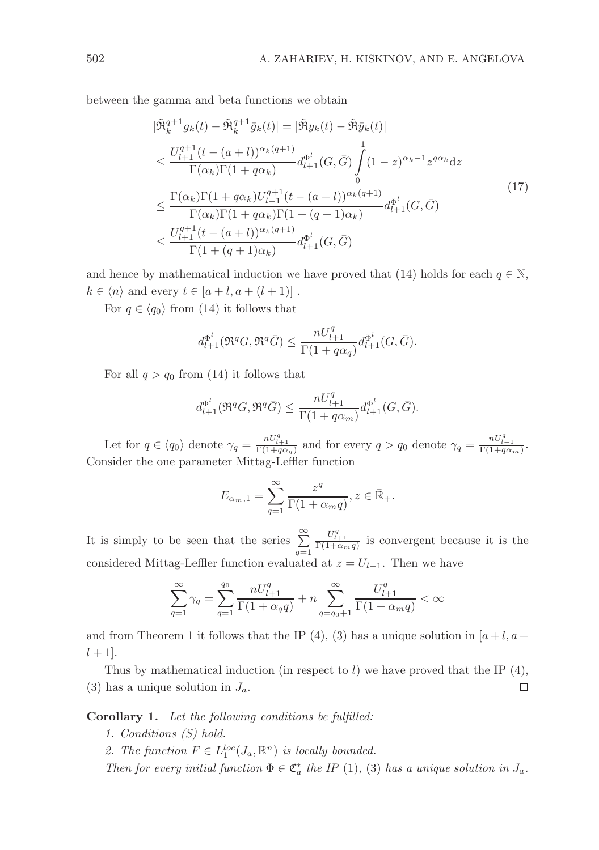between the gamma and beta functions we obtain

$$
|\tilde{\mathfrak{R}}_{k}^{q+1} g_{k}(t) - \tilde{\mathfrak{R}}_{k}^{q+1} \bar{g}_{k}(t)| = |\tilde{\mathfrak{R}} y_{k}(t) - \tilde{\mathfrak{R}} \bar{y}_{k}(t)|
$$
  
\n
$$
\leq \frac{U_{l+1}^{q+1} (t - (a+l))^{\alpha_{k}(q+1)}}{\Gamma(\alpha_{k}) \Gamma(1 + q\alpha_{k})} d_{l+1}^{\Phi^{l}}(G, \bar{G}) \int_{0}^{1} (1 - z)^{\alpha_{k} - 1} z^{q\alpha_{k}} dz
$$
  
\n
$$
\leq \frac{\Gamma(\alpha_{k}) \Gamma(1 + q\alpha_{k}) U_{l+1}^{q+1} (t - (a+l))^{\alpha_{k}(q+1)}}{\Gamma(\alpha_{k}) \Gamma(1 + q\alpha_{k}) \Gamma(1 + (q+1)\alpha_{k})} d_{l+1}^{\Phi^{l}}(G, \bar{G})
$$
  
\n
$$
\leq \frac{U_{l+1}^{q+1} (t - (a+l))^{\alpha_{k}(q+1)}}{\Gamma(1 + (q+1)\alpha_{k})} d_{l+1}^{\Phi^{l}}(G, \bar{G})
$$
\n(17)

and hence by mathematical induction we have proved that (14) holds for each  $q \in \mathbb{N}$ ,  $k \in \langle n \rangle$  and every  $t \in [a+l, a+(l+1)]$ .

For  $q \in \langle q_0 \rangle$  from (14) it follows that

$$
d_{l+1}^{\Phi^l}(\Re^q G, \Re^q \bar{G}) \le \frac{nU_{l+1}^q}{\Gamma(1+q\alpha_q)} d_{l+1}^{\Phi^l}(G, \bar{G}).
$$

For all  $q > q_0$  from (14) it follows that

$$
d_{l+1}^{\Phi^l}(\Re^q G,\Re^q \bar{G})\leq \frac{n U_{l+1}^q}{\Gamma(1+q\alpha_m)}d_{l+1}^{\Phi^l}(G,\bar{G}).
$$

Let for  $q \in \langle q_0 \rangle$  denote  $\gamma_q = \frac{nU_{l+1}^q}{\Gamma(1+q\alpha_q)}$  and for every  $q > q_0$  denote  $\gamma_q = \frac{nU_{l+1}^q}{\Gamma(1+q\alpha_m)}$ . Consider the one parameter Mittag-Leffler function

$$
E_{\alpha_m,1} = \sum_{q=1}^{\infty} \frac{z^q}{\Gamma(1+\alpha_m q)}, z \in \bar{\mathbb{R}}_+.
$$

It is simply to be seen that the series  $\sum_{q=1}^{\infty}$  $\frac{U_{l+1}^q}{\Gamma(1+\alpha_m q)}$  is convergent because it is the considered Mittag-Leffler function evaluated at  $z = U_{l+1}$ . Then we have

$$
\sum_{q=1}^{\infty}\gamma_q=\sum_{q=1}^{q_0}\frac{nU_{l+1}^q}{\Gamma(1+\alpha_q q)}+n\sum_{q=q_0+1}^{\infty}\frac{U_{l+1}^q}{\Gamma(1+\alpha_m q)}<\infty
$$

and from Theorem 1 it follows that the IP (4), (3) has a unique solution in  $[a+l, a+l]$  $l + 1$ .

Thus by mathematical induction (in respect to  $l$ ) we have proved that the IP  $(4)$ , (3) has a unique solution in  $J_a$ . □

Corollary 1. Let the following conditions be fulfilled:

- 1. Conditions (S) hold.
- 2. The function  $F \in L_1^{loc}(J_a, \mathbb{R}^n)$  is locally bounded.

Then for every initial function  $\Phi \in \mathfrak{C}_a^*$  the IP (1), (3) has a unique solution in  $J_a$ .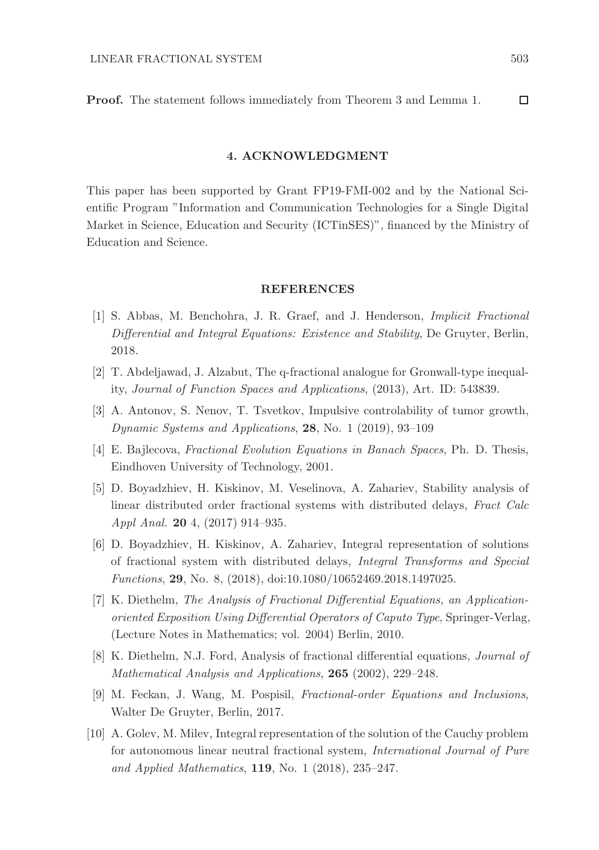Proof. The statement follows immediately from Theorem 3 and Lemma 1.  $\Box$ 

### 4. ACKNOWLEDGMENT

This paper has been supported by Grant FP19-FMI-002 and by the National Scientific Program "Information and Communication Technologies for a Single Digital Market in Science, Education and Security (ICTinSES)", financed by the Ministry of Education and Science.

## REFERENCES

- [1] S. Abbas, M. Benchohra, J. R. Graef, and J. Henderson, Implicit Fractional Differential and Integral Equations: Existence and Stability, De Gruyter, Berlin, 2018.
- [2] T. Abdeljawad, J. Alzabut, The q-fractional analogue for Gronwall-type inequality, Journal of Function Spaces and Applications, (2013), Art. ID: 543839.
- [3] A. Antonov, S. Nenov, T. Tsvetkov, Impulsive controlability of tumor growth, Dynamic Systems and Applications, 28, No. 1 (2019), 93–109
- [4] E. Bajlecova, Fractional Evolution Equations in Banach Spaces, Ph. D. Thesis, Eindhoven University of Technology, 2001.
- [5] D. Boyadzhiev, H. Kiskinov, M. Veselinova, A. Zahariev, Stability analysis of linear distributed order fractional systems with distributed delays, Fract Calc Appl Anal. 20 4, (2017) 914–935.
- [6] D. Boyadzhiev, H. Kiskinov, A. Zahariev, Integral representation of solutions of fractional system with distributed delays, Integral Transforms and Special Functions, 29, No. 8, (2018), doi:10.1080/10652469.2018.1497025.
- [7] K. Diethelm, The Analysis of Fractional Differential Equations, an Applicationoriented Exposition Using Differential Operators of Caputo Type, Springer-Verlag, (Lecture Notes in Mathematics; vol. 2004) Berlin, 2010.
- [8] K. Diethelm, N.J. Ford, Analysis of fractional differential equations, Journal of Mathematical Analysis and Applications, 265 (2002), 229–248.
- [9] M. Feckan, J. Wang, M. Pospisil, Fractional-order Equations and Inclusions, Walter De Gruyter, Berlin, 2017.
- [10] A. Golev, M. Milev, Integral representation of the solution of the Cauchy problem for autonomous linear neutral fractional system, International Journal of Pure and Applied Mathematics, 119, No. 1 (2018), 235–247.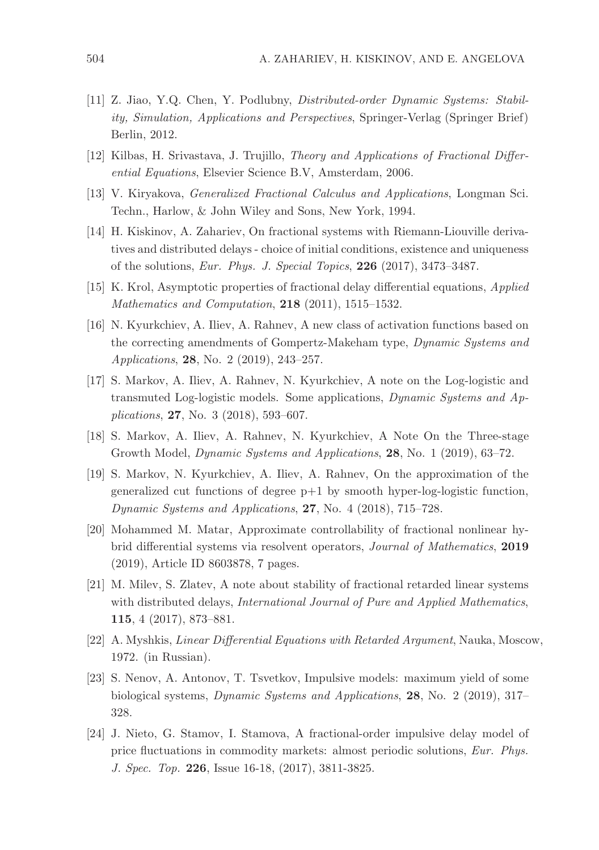- [11] Z. Jiao, Y.Q. Chen, Y. Podlubny, Distributed-order Dynamic Systems: Stability, Simulation, Applications and Perspectives, Springer-Verlag (Springer Brief) Berlin, 2012.
- [12] Kilbas, H. Srivastava, J. Trujillo, Theory and Applications of Fractional Differential Equations, Elsevier Science B.V, Amsterdam, 2006.
- [13] V. Kiryakova, Generalized Fractional Calculus and Applications, Longman Sci. Techn., Harlow, & John Wiley and Sons, New York, 1994.
- [14] H. Kiskinov, A. Zahariev, On fractional systems with Riemann-Liouville derivatives and distributed delays - choice of initial conditions, existence and uniqueness of the solutions, Eur. Phys. J. Special Topics, 226 (2017), 3473–3487.
- [15] K. Krol, Asymptotic properties of fractional delay differential equations, Applied Mathematics and Computation, 218 (2011), 1515–1532.
- [16] N. Kyurkchiev, A. Iliev, A. Rahnev, A new class of activation functions based on the correcting amendments of Gompertz-Makeham type, Dynamic Systems and Applications, 28, No. 2 (2019), 243–257.
- [17] S. Markov, A. Iliev, A. Rahnev, N. Kyurkchiev, A note on the Log-logistic and transmuted Log-logistic models. Some applications, Dynamic Systems and Applications, 27, No. 3 (2018), 593–607.
- [18] S. Markov, A. Iliev, A. Rahnev, N. Kyurkchiev, A Note On the Three-stage Growth Model, Dynamic Systems and Applications, 28, No. 1 (2019), 63–72.
- [19] S. Markov, N. Kyurkchiev, A. Iliev, A. Rahnev, On the approximation of the generalized cut functions of degree  $p+1$  by smooth hyper-log-logistic function, Dynamic Systems and Applications, 27, No. 4 (2018), 715–728.
- [20] Mohammed M. Matar, Approximate controllability of fractional nonlinear hybrid differential systems via resolvent operators, Journal of Mathematics, 2019 (2019), Article ID 8603878, 7 pages.
- [21] M. Milev, S. Zlatev, A note about stability of fractional retarded linear systems with distributed delays, *International Journal of Pure and Applied Mathematics*, 115, 4 (2017), 873–881.
- [22] A. Myshkis, Linear Differential Equations with Retarded Argument, Nauka, Moscow, 1972. (in Russian).
- [23] S. Nenov, A. Antonov, T. Tsvetkov, Impulsive models: maximum yield of some biological systems, Dynamic Systems and Applications, 28, No. 2 (2019), 317– 328.
- [24] J. Nieto, G. Stamov, I. Stamova, A fractional-order impulsive delay model of price fluctuations in commodity markets: almost periodic solutions, Eur. Phys. J. Spec. Top. 226, Issue 16-18, (2017), 3811-3825.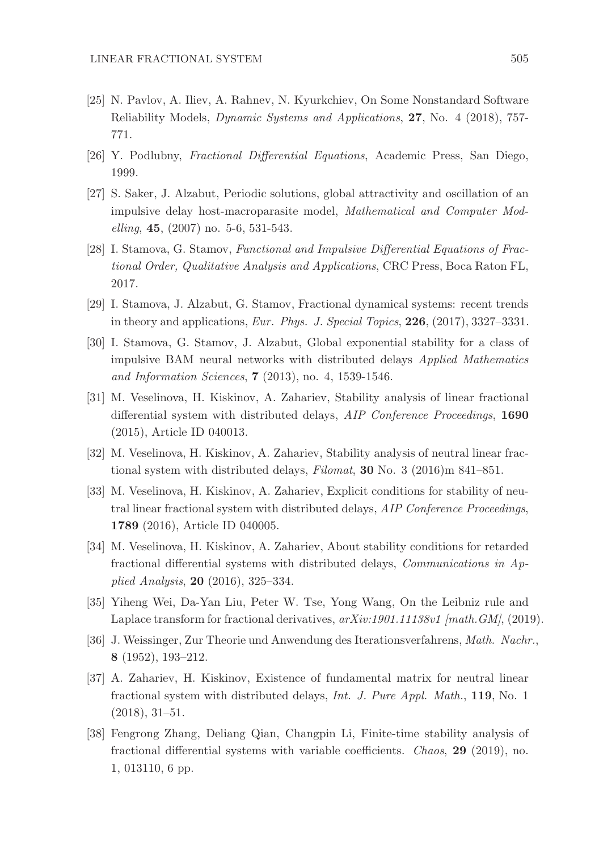- [25] N. Pavlov, A. Iliev, A. Rahnev, N. Kyurkchiev, On Some Nonstandard Software Reliability Models, Dynamic Systems and Applications, 27, No. 4 (2018), 757- 771.
- [26] Y. Podlubny, Fractional Differential Equations, Academic Press, San Diego, 1999.
- [27] S. Saker, J. Alzabut, Periodic solutions, global attractivity and oscillation of an impulsive delay host-macroparasite model, Mathematical and Computer Modelling, 45, (2007) no. 5-6, 531-543.
- [28] I. Stamova, G. Stamov, Functional and Impulsive Differential Equations of Fractional Order, Qualitative Analysis and Applications, CRC Press, Boca Raton FL, 2017.
- [29] I. Stamova, J. Alzabut, G. Stamov, Fractional dynamical systems: recent trends in theory and applications, Eur. Phys. J. Special Topics, 226, (2017), 3327–3331.
- [30] I. Stamova, G. Stamov, J. Alzabut, Global exponential stability for a class of impulsive BAM neural networks with distributed delays Applied Mathematics and Information Sciences, 7 (2013), no. 4, 1539-1546.
- [31] M. Veselinova, H. Kiskinov, A. Zahariev, Stability analysis of linear fractional differential system with distributed delays, AIP Conference Proceedings, 1690 (2015), Article ID 040013.
- [32] M. Veselinova, H. Kiskinov, A. Zahariev, Stability analysis of neutral linear fractional system with distributed delays, Filomat, 30 No. 3 (2016)m 841–851.
- [33] M. Veselinova, H. Kiskinov, A. Zahariev, Explicit conditions for stability of neutral linear fractional system with distributed delays, AIP Conference Proceedings, 1789 (2016), Article ID 040005.
- [34] M. Veselinova, H. Kiskinov, A. Zahariev, About stability conditions for retarded fractional differential systems with distributed delays, Communications in Applied Analysis, 20 (2016), 325–334.
- [35] Yiheng Wei, Da-Yan Liu, Peter W. Tse, Yong Wang, On the Leibniz rule and Laplace transform for fractional derivatives,  $arXiv:1901.11138v1$  [math.  $GM$ ], (2019).
- [36] J. Weissinger, Zur Theorie und Anwendung des Iterationsverfahrens, Math. Nachr., 8 (1952), 193–212.
- [37] A. Zahariev, H. Kiskinov, Existence of fundamental matrix for neutral linear fractional system with distributed delays, Int. J. Pure Appl. Math., 119, No. 1 (2018), 31–51.
- [38] Fengrong Zhang, Deliang Qian, Changpin Li, Finite-time stability analysis of fractional differential systems with variable coefficients. Chaos, 29 (2019), no. 1, 013110, 6 pp.